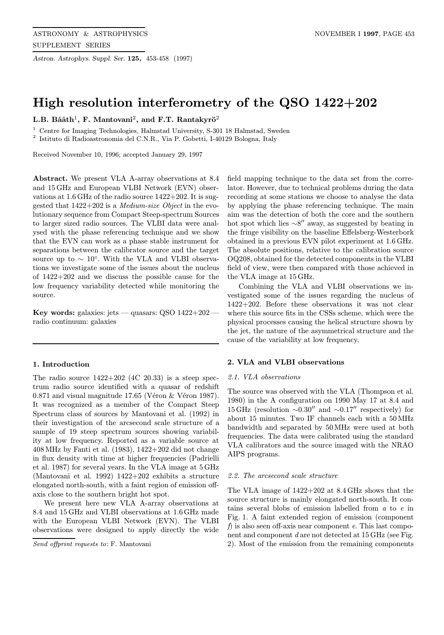Astron. Astrophys. Suppl. Ser. 125, 453-458 (1997)

# High resolution interferometry of the QSO 1422+202

L.B. Bååth<sup>1</sup>, F. Mantovani<sup>2</sup>, and F.T. Rantakyrö<sup>2</sup>

<sup>1</sup> Centre for Imaging Technologies, Halmstad University, S-301 18 Halmstad, Sweden

<sup>2</sup> Istituto di Radioastronomia del C.N.R., Via P. Gobetti, I-40129 Bologna, Italy

Received November 10, 1996; accepted January 29, 1997

Abstract. We present VLA A-array observations at 8.4 and 15GHz and European VLBI Network (EVN) observations at 1.6GHz of the radio source 1422+202. It is suggested that 1422+202 is a Medium-size Object in the evolutionary sequence from Compact Steep-spectrum Sources to larger sized radio sources. The VLBI data were analysed with the phase referencing technique and we show that the EVN can work as a phase stable instrument for separations between the calibrator source and the target source up to  $\sim 10^{\circ}$ . With the VLA and VLBI observations we investigate some of the issues about the nucleus of 1422+202 and we discuss the possible cause for the low frequency variability detected while monitoring the source.

Key words: galaxies: jets — quasars: QSO  $1422+202$  radio continuum: galaxies

### 1. Introduction

The radio source  $1422+202$  (4C 20.33) is a steep spectrum radio source identified with a quasar of redshift  $0.871$  and visual magnitude 17.65 (Véron  $\&$  Véron 1987). It was recognized as a member of the Compact Steep Spectrum class of sources by Mantovani et al. (1992) in their investigation of the arcsecond scale structure of a sample of 19 steep spectrum sources showing variability at low frequency. Reported as a variable source at 408MHz by Fanti et al. (1983), 1422+202 did not change in flux density with time at higher frequencies (Padrielli et al. 1987) for several years. In the VLA image at 5 GHz (Mantovani et al. 1992) 1422+202 exhibits a structure elongated north-south, with a faint region of emission offaxis close to the southern bright hot spot.

We present here new VLA A-array observations at 8.4 and 15GHz and VLBI observations at 1.6GHz made with the European VLBI Network (EVN). The VLBI observations were designed to apply directly the wide

Send offprint requests to: F. Mantovani

field mapping technique to the data set from the correlator. However, due to technical problems during the data recording at some stations we choose to analyse the data by applying the phase referencing technique. The main aim was the detection of both the core and the southern hot spot which lies  $\sim 8''$  away, as suggested by beating in the fringe visibility on the baseline Effelsberg-Westerbork obtained in a previous EVN pilot experiment at 1.6GHz. The absolute positions, relative to the calibration source OQ208, obtained for the detected components in the VLBI field of view, were then compared with those achieved in the VLA image at 15GHz.

Combining the VLA and VLBI observations we investigated some of the issues regarding the nucleus of 1422+202. Before these observations it was not clear where this source fits in the CSSs scheme, which were the physical processes causing the helical structure shown by the jet, the nature of the asymmetrical structure and the cause of the variability at low frequency.

# 2. VLA and VLBI observations

## 2.1. VLA observations

The source was observed with the VLA (Thompson et al. 1980) in the A configuration on 1990 May 17 at 8.4 and 15 GHz (resolution  $\sim 0.30''$  and  $\sim 0.17''$  respectively) for about 15 minutes. Two IF channels each with a 50MHz bandwidth and separated by 50MHz were used at both frequencies. The data were calibrated using the standard VLA calibrators and the source imaged with the NRAO AIPS programs.

## 2.2. The arcsecond scale structure

The VLA image of 1422+202 at 8.4GHz shows that the source structure is mainly elongated north-south. It contains several blobs of emission labelled from a to e in Fig. 1. A faint extended region of emission (component f) is also seen of f-axis near component  $e$ . This last component and component d are not detected at 15 GHz (see Fig. 2). Most of the emission from the remaining components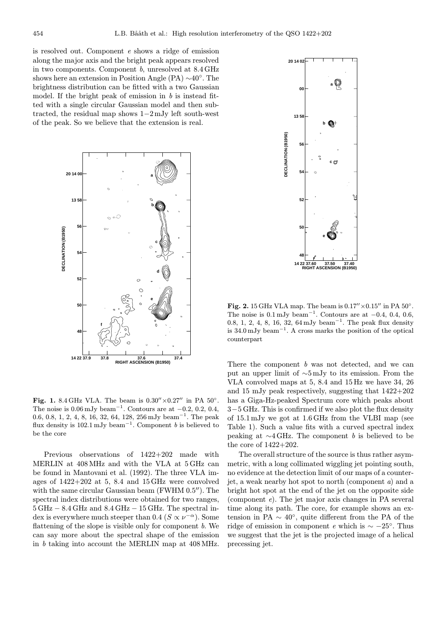is resolved out. Component e shows a ridge of emission along the major axis and the bright peak appears resolved in two components. Component b, unresolved at 8.4GHz shows here an extension in Position Angle (PA) ∼40◦. The brightness distribution can be fitted with a two Gaussian model. If the bright peak of emission in  $b$  is instead fitted with a single circular Gaussian model and then subtracted, the residual map shows 1−2mJy left south-west of the peak. So we believe that the extension is real.



Fig. 1. 8.4 GHz VLA. The beam is  $0.30'' \times 0.27''$  in PA  $50^{\circ}$ . The noise is  $0.06 \text{ mJy beam}^{-1}$ . Contours are at  $-0.2, 0.2, 0.4$ , 0.6, 0.8, 1, 2, 4, 8, 16, 32, 64, 128, 256 mJy beam<sup>−</sup><sup>1</sup>. The peak flux density is  $102.1 \text{ mJy beam}^{-1}$ . Component b is believed to be the core

Previous observations of 1422+202 made with MERLIN at 408MHz and with the VLA at 5GHz can be found in Mantovani et al. (1992). The three VLA images of 1422+202 at 5, 8.4 and 15GHz were convolved with the same circular Gaussian beam (FWHM  $0.5$ <sup>"</sup>). The spectral index distributions were obtained for two ranges,  $5\,\text{GHz} - 8.4\,\text{GHz}$  and  $8.4\,\text{GHz} - 15\,\text{GHz}$ . The spectral index is everywhere much steeper than 0.4 ( $S \propto \nu^{-\alpha}$ ). Some flattening of the slope is visible only for component  $b$ . We can say more about the spectral shape of the emission in b taking into account the MERLIN map at 408MHz.



Fig. 2. 15 GHz VLA map. The beam is  $0.17'' \times 0.15''$  in PA  $50^{\circ}$ . The noise is  $0.1 \text{ mJy beam}^{-1}$ . Contours are at  $-0.4$ , 0.4, 0.6, 0.8, 1, 2, 4, 8, 16, 32, 64 mJy beam<sup>-1</sup>. The peak flux density is 34.0 mJy beam<sup>−</sup><sup>1</sup>. A cross marks the position of the optical counterpart

There the component b was not detected, and we can put an upper limit of ∼5mJy to its emission. From the VLA convolved maps at 5, 8.4 and 15Hz we have 34, 26 and 15 mJy peak respectively, suggesting that 1422+202 has a Giga-Hz-peaked Spectrum core which peaks about 3−5 GHz. This is confirmed if we also plot the flux density of 15.1mJy we got at 1.6GHz from the VLBI map (see Table 1). Such a value fits with a curved spectral index peaking at  $\sim$ 4 GHz. The component b is believed to be the core of 1422+202.

The overall structure of the source is thus rather asymmetric, with a long collimated wiggling jet pointing south, no evidence at the detection limit of our maps of a counterjet, a weak nearby hot spot to north (component a) and a bright hot spot at the end of the jet on the opposite side (component  $e$ ). The jet major axis changes in PA several time along its path. The core, for example shows an extension in PA  $\sim 40^{\circ}$ , quite different from the PA of the ridge of emission in component e which is  $\sim -25^\circ$ . Thus we suggest that the jet is the projected image of a helical precessing jet.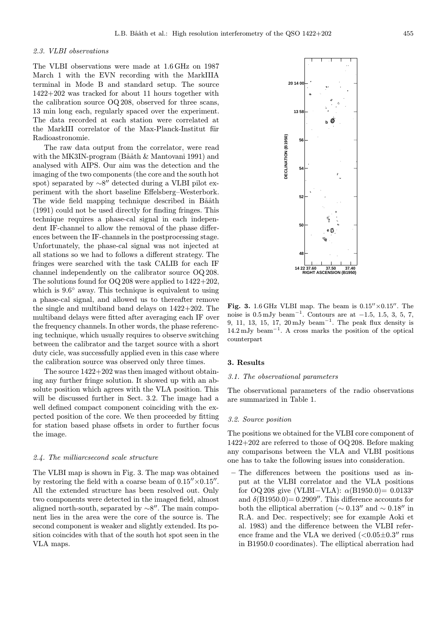# 2.3. VLBI observations

The VLBI observations were made at 1.6GHz on 1987 March 1 with the EVN recording with the MarkIIIA terminal in Mode B and standard setup. The source 1422+202 was tracked for about 11 hours together with the calibration source OQ208, observed for three scans, 13 min long each, regularly spaced over the experiment. The data recorded at each station were correlated at the MarkIII correlator of the Max-Planck-Institut für Radioastronomie.

The raw data output from the correlator, were read with the MK3IN-program (Bååth  $\&$  Mantovani 1991) and analysed with AIPS. Our aim was the detection and the imaging of the two components (the core and the south hot spot) separated by  $\sim8''$  detected during a VLBI pilot experiment with the short baseline Effelsberg–Westerbork. The wide field mapping technique described in Bååth (1991) could not be used directly for finding fringes. This technique requires a phase-cal signal in each independent IF-channel to allow the removal of the phase differences between the IF-channels in the postprocessing stage. Unfortunately, the phase-cal signal was not injected at all stations so we had to follows a different strategy. The fringes were searched with the task CALIB for each IF channel independently on the calibrator source OQ208. The solutions found for  $OQ$  208 were applied to  $1422+202$ , which is 9.6◦ away. This technique is equivalent to using a phase-cal signal, and allowed us to thereafter remove the single and multiband band delays on 1422+202. The multiband delays were fitted after averaging each IF over the frequency channels. In other words, the phase referencing technique, which usually requires to observe switching between the calibrator and the target source with a short duty cicle, was successfully applied even in this case where the calibration source was observed only three times.

The source 1422+202 was then imaged without obtaining any further fringe solution. It showed up with an absolute position which agrees with the VLA position. This will be discussed further in Sect. 3.2. The image had a well defined compact component coinciding with the expected position of the core. We then proceeded by fitting for station based phase offsets in order to further focus the image.

#### 2.4. The milliarcsecond scale structure

The VLBI map is shown in Fig. 3. The map was obtained by restoring the field with a coarse beam of  $0.15'' \times 0.15''$ . All the extended structure has been resolved out. Only two components were detected in the imaged field, almost aligned north-south, separated by  $\sim 8''$ . The main component lies in the area were the core of the source is. The second component is weaker and slightly extended. Its position coincides with that of the south hot spot seen in the VLA maps.



**b**

**20 14 00**

**13 58**

Fig. 3. 1.6 GHz VLBI map. The beam is  $0.15'' \times 0.15''$ . The noise is  $0.5 \,\mathrm{mJy \, beam}^{-1}$ . Contours are at  $-1.5$ , 1.5, 3, 5, 7, 9, 11, 13, 15, 17, 20 mJy beam<sup>-1</sup>. The peak flux density is 14.2 mJy beam<sup>−</sup><sup>1</sup>. A cross marks the position of the optical counterpart

#### 3. Results

## 3.1. The observational parameters

The observational parameters of the radio observations are summarized in Table 1.

## 3.2. Source position

The positions we obtained for the VLBI core component of  $1422+202$  are referred to those of OQ 208. Before making any comparisons between the VLA and VLBI positions one has to take the following issues into consideration.

– The differences between the positions used as input at the VLBI correlator and the VLA positions for OQ208 give (VLBI–VLA):  $\alpha$ (B1950.0)= 0.0133<sup>s</sup> and  $\delta$ (B1950.0) = 0.2909". This difference accounts for both the elliptical aberration ( $\sim 0.13''$  and  $\sim 0.18''$  in R.A. and Dec. respectively; see for example Aoki et al. 1983) and the difference between the VLBI reference frame and the VLA we derived  $(<0.05\pm0.3''$  rms in B1950.0 coordinates). The elliptical aberration had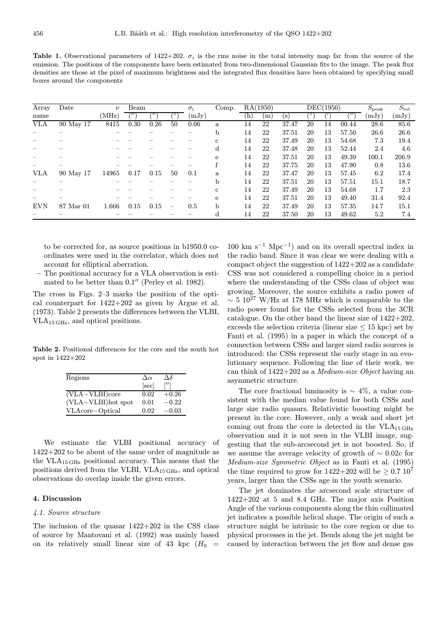Table 1. Observational parameters of 1422+202.  $\sigma_i$  is the rms noise in the total intensity map far from the source of the emission. The positions of the components have been estimated from two-dimensional Gaussian fits to the image. The peak flux densities are those at the pixel of maximum brightness and the integrated flux densities have been obtained by specifying small boxes around the components

| Array      | Date      | $\nu$ | Beam |      |                   | $\sigma_i$  | Comp.        |     | RA(1950) | $\overline{\text{DEC}}(1950)$ |    |    |       | $S_{\rm peak}$ | $S_{\rm tot}$ |
|------------|-----------|-------|------|------|-------------------|-------------|--------------|-----|----------|-------------------------------|----|----|-------|----------------|---------------|
| name       |           | (MHz) |      |      |                   | $\rm (mJy)$ |              | (h) | m        | (s)                           |    |    |       | (mJy)          | (mJy)         |
| <b>VLA</b> | 90 May 17 | 8415  | 0.30 | 0.26 | 50                | 0.06        | a            | 14  | 22       | 37.47                         | 20 | 14 | 00.44 | 28.6           | 85.6          |
|            |           |       |      |      |                   |             | b            | 14  | 22       | 37.51                         | 20 | 13 | 57.50 | 26.6           | 26.6          |
|            |           |       |      |      |                   |             | c            | 14  | 22       | 37.49                         | 20 | 13 | 54.68 | 7.3            | 19.4          |
|            |           |       |      |      |                   |             | d            | 14  | 22       | 37.48                         | 20 | 13 | 52.44 | 2.4            | 4.6           |
|            |           |       |      |      |                   |             | e            | 14  | 22       | 37.51                         | 20 | 13 | 49.39 | 100.1          | 206.9         |
|            |           |       |      |      |                   |             | f            | 14  | 22       | 37.75                         | 20 | 13 | 47.90 | 0.8            | 13.6          |
| VLA        | 90 May 17 | 14965 | 0.17 | 0.15 | 50                | 0.1         | a            | 14  | 22       | 37.47                         | 20 | 13 | 57.45 | 6.2            | 17.4          |
|            |           |       |      |      |                   |             | b            | 14  | 22       | 37.51                         | 20 | 13 | 57.51 | 15.1           | 18.7          |
|            |           |       |      |      |                   |             | $\mathbf{c}$ | 14  | 22       | 37.49                         | 20 | 13 | 54.68 | 1.7            | 2.3           |
|            |           |       |      |      |                   |             | e            | 14  | 22       | 37.51                         | 20 | 13 | 49.40 | 31.4           | 92.4          |
| <b>EVN</b> | 87 Mar 01 | 1.666 | 0.15 | 0.15 | $\qquad \qquad -$ | 0.5         | $\mathbf b$  | 14  | 22       | 37.49                         | 20 | 13 | 57.35 | 14.7           | 15.1          |
|            |           |       |      |      |                   |             | d            | 14  | 22       | 37.50                         | 20 | 13 | 49.62 | 5.2            | 7.4           |

to be corrected for, as source positions in b1950.0 coordinates were used in the correlator, which does not account for elliptical aberration.

– The positional accuracy for a VLA observation is estimated to be better than  $0.1''$  (Perley et al. 1982).

The cross in Figs. 2–3 marks the position of the optical counterpart for 1422+202 as given by Argue et al. (1973). Table 2 presents the differences between the VLBI, VLA15 GHz, and optical positions.

Table 2. Positional differences for the core and the south hot spot in 1422+202

| Regions            | $\Delta \alpha$ | Δδ      |
|--------------------|-----------------|---------|
|                    | [sec]           | [′′]    |
| $(VLA-VLBI)core$   | 0.02            | $+0.26$ |
| (VLA-VLBI)hot spot | 0.01            | $-0.22$ |
| VLAcore-Optical    | 0.02            | $-0.03$ |

We estimate the VLBI positional accuracy of 1422+202 to be about of the same order of magnitude as the  $VLA_{15\,\text{GHz}}$  positional accuracy. This means that the positions derived from the VLBI, VLA15 GHz, and optical observations do overlap inside the given errors.

# 4. Discussion

#### 4.1. Source structure

The inclusion of the quasar 1422+202 in the CSS class of source by Mantovani et al. (1992) was mainly based on its relatively small linear size of 43 kpc  $(H_0 =$ 

 $100 \text{ km s}^{-1} \text{ Mpc}^{-1}$  and on its overall spectral index in the radio band. Since it was clear we were dealing with a compact object the suggestion of 1422+202 as a candidate CSS was not considered a compelling choice in a period where the understanding of the CSSs class of object was growing. Moreover, the source exhibits a radio power of  $\sim$  5 10<sup>27</sup> W/Hz at 178 MHz which is comparable to the radio power found for the CSSs selected from the 3CR catalogue. On the other hand the linear size of 1422+202, exceeds the selection criteria (linear size  $\leq 15$  kpc) set by Fanti et al. (1995) in a paper in which the concept of a connection between CSSs and larger sized radio sources is introduced: the CSSs represent the early stage in an evolutionary sequence. Following the line of their work, we can think of  $1422+202$  as a *Medium-size Object* having an asymmetric structure.

The core fractional luminosity is  $\sim 4\%$ , a value consistent with the median value found for both CSSs and large size radio quasars. Relativistic boosting might be present in the core. However, only a weak and short jet coming out from the core is detected in the  $VLA_{15 \text{ GHz}}$ observation and it is not seen in the VLBI image, suggesting that the sub-arcsecond jet is not boosted. So, if we assume the average velocity of growth of  $\sim 0.02c$  for Medium-size Symmetric Object as in Fanti et al. (1995) the time required to grow for  $1422+202$  will be  $\geq 0.7$   $10^7$ years, larger than the CSSs age in the youth scenario.

The jet dominates the arcsecond scale structure of 1422+202 at 5 and 8.4 GHz. The major axis Position Angle of the various components along the thin collimated jet indicates a possible helical shape. The origin of such a structure might be intrinsic to the core region or due to physical processes in the jet. Bends along the jet might be caused by interaction between the jet flow and dense gas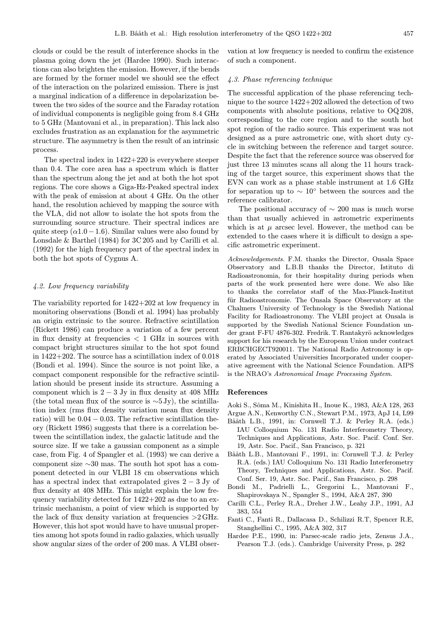clouds or could be the result of interference shocks in the plasma going down the jet (Hardee 1990). Such interactions can also brighten the emission. However, if the bends are formed by the former model we should see the effect of the interaction on the polarized emission. There is just a marginal indication of a difference in depolarization between the two sides of the source and the Faraday rotation of individual components is negligible going from 8.4 GHz to 5 GHz (Mantovani et al., in preparation). This lack also excludes frustration as an explanation for the asymmetric structure. The asymmetry is then the result of an intrinsic process.

The spectral index in 1422+220 is everywhere steeper than 0.4. The core area has a spectrum which is flatter than the spectrum along the jet and at both the hot spot regions. The core shows a Giga-Hz-Peaked spectral index with the peak of emission at about 4 GHz. On the other hand, the resolution achieved by mapping the source with the VLA, did not allow to isolate the hot spots from the surrounding source structure. Their spectral indices are quite steep  $(\alpha 1.0 - 1.6)$ . Similar values were also found by Lonsdale & Barthel (1984) for 3C 205 and by Carilli et al. (1992) for the high frequency part of the spectral index in both the hot spots of Cygnus A.

## 4.2. Low frequency variability

The variability reported for 1422+202 at low frequency in monitoring observations (Bondi et al. 1994) has probably an origin extrinsic to the source. Refractive scintillation (Rickett 1986) can produce a variation of a few percent in flux density at frequencies  $\langle 1 \text{ GHz} \rangle$  in sources with compact bright structures similar to the hot spot found in 1422+202. The source has a scintillation index of 0.018 (Bondi et al. 1994). Since the source is not point like, a compact component responsible for the refractive scintillation should be present inside its structure. Assuming a component which is  $2 - 3$  Jy in flux density at 408 MHz (the total mean flux of the source is  $\sim$ 5 Jy), the scintillation index (rms flux density variation mean flux density ratio) will be  $0.04 - 0.03$ . The refractive scintillation theory (Rickett 1986) suggests that there is a correlation between the scintillation index, the galactic latitude and the source size. If we take a gaussian component as a simple case, from Fig. 4 of Spangler et al. (1993) we can derive a component size ∼30 mas. The south hot spot has a component detected in our VLBI 18 cm observations which has a spectral index that extrapolated gives  $2 - 3$  Jy of flux density at 408 MHz. This might explain the low frequency variability detected for 1422+202 as due to an extrinsic mechanism, a point of view which is supported by the lack of flux density variation at frequencies >2GHz. However, this hot spot would have to have unusual properties among hot spots found in radio galaxies, which usually show angular sizes of the order of 200 mas. A VLBI observation at low frequency is needed to confirm the existence of such a component.

#### 4.3. Phase referencing technique

The successful application of the phase referencing technique to the source 1422+202 allowed the detection of two components with absolute positions, relative to OQ208, corresponding to the core region and to the south hot spot region of the radio source. This experiment was not designed as a pure astrometric one, with short duty cycle in switching between the reference and target source. Despite the fact that the reference source was observed for just three 13 minutes scans all along the 11 hours tracking of the target source, this experiment shows that the EVN can work as a phase stable instrument at 1.6 GHz for separation up to  $\sim 10^{\circ}$  between the sources and the reference calibrator.

The positional accuracy of  $\sim 200$  mas is much worse than that usually achieved in astrometric experiments which is at  $\mu$  arcsec level. However, the method can be extended to the cases where it is difficult to design a specific astrometric experiment.

Acknowledgements. F.M. thanks the Director, Onsala Space Observatory and L.B.B thanks the Director, Istituto di Radioastronomia, for their hospitality during periods when parts of the work presented here were done. We also like to thanks the correlator staff of the Max-Planck-Institut für Radioastronomie. The Onsala Space Observatory at the Chalmers University of Technology is the Swedish National Facility for Radioastronomy. The VLBI project at Onsala is supported by the Swedish National Science Foundation under grant F-FU 4876-302. Fredrik. T. Rantakyrö acknowledges support for his research by the European Union under contract ERBCHGECT920011. The National Radio Astronomy is operated by Associated Universities Incorporated under cooperative agreement with the National Science Foundation. AIPS is the NRAO's Astronomical Image Processing System.

#### References

Aoki S., Sˆoma M., Kinishita H., Inoue K., 1983, A&A 128, 263 Argue A.N., Kenworthy C.N., Stewart P.M., 1973, ApJ 14, L99

- Bååth L.B., 1991, in: Cornwell T.J. & Perley R.A. (eds.) IAU Colloquium No. 131 Radio Interferometry Theory, Techniques and Applications, Astr. Soc. Pacif. Conf. Ser. 19, Astr. Soc. Pacif., San Francisco, p. 321
- Bååth L.B., Mantovani F., 1991, in: Cornwell T.J. & Perley R.A. (eds.) IAU Colloquium No. 131 Radio Interferometry Theory, Techniques and Applications, Astr. Soc. Pacif. Conf. Ser. 19, Astr. Soc. Pacif., San Francisco, p. 298
- Bondi M., Padrielli L., Gregorini L., Mantovani F., Shapirovskaya N., Spangler S., 1994, A&A 287, 390
- Carilli C.L., Perley R.A., Dreher J.W., Leahy J.P., 1991, AJ 383, 554
- Fanti C., Fanti R., Dallacasa D., Schilizzi R.T, Spencer R.E, Stanghellini C., 1995, A&A 302, 317
- Hardee P.E., 1990, in: Parsec-scale radio jets, Zensus J.A., Pearson T.J. (eds.). Cambridge University Press, p. 282